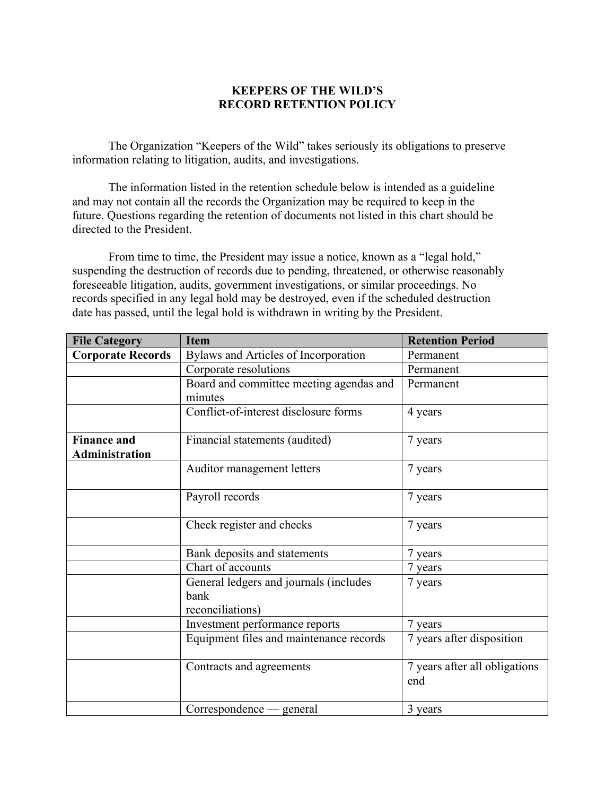# **KEEPERS OF THE WILD'S RECORD RETENTION POLICY**

The Organization "Keepers of the Wild" takes seriously its obligations to preserve information relating to litigation, audits, and investigations.

The information listed in the retention schedule below is intended as a guideline and may not contain all the records the Organization may be required to keep in the future. Questions regarding the retention of documents not listed in this chart should be directed to the President.

From time to time, the President may issue a notice, known as a "legal hold," suspending the destruction of records due to pending, threatened, or otherwise reasonably foreseeable litigation, audits, government investigations, or similar proceedings. No records specified in any legal hold may be destroyed, even if the scheduled destruction date has passed, until the legal hold is withdrawn in writing by the President.

| <b>File Category</b>     | <b>Item</b>                                                        | <b>Retention Period</b>              |
|--------------------------|--------------------------------------------------------------------|--------------------------------------|
| <b>Corporate Records</b> | Bylaws and Articles of Incorporation                               | Permanent                            |
|                          | Corporate resolutions                                              | Permanent                            |
|                          | Board and committee meeting agendas and                            | Permanent                            |
|                          | minutes                                                            |                                      |
|                          | Conflict-of-interest disclosure forms                              | 4 years                              |
| <b>Finance and</b>       | Financial statements (audited)                                     | 7 years                              |
| <b>Administration</b>    |                                                                    |                                      |
|                          | Auditor management letters                                         | 7 years                              |
|                          | Payroll records                                                    | 7 years                              |
|                          | Check register and checks                                          | 7 years                              |
|                          | Bank deposits and statements                                       | 7 years                              |
|                          | Chart of accounts                                                  | 7 years                              |
|                          | General ledgers and journals (includes<br>bank<br>reconciliations) | 7 years                              |
|                          | Investment performance reports                                     | 7 years                              |
|                          | Equipment files and maintenance records                            | 7 years after disposition            |
|                          | Contracts and agreements                                           | 7 years after all obligations<br>end |
|                          | Correspondence — general                                           | 3 years                              |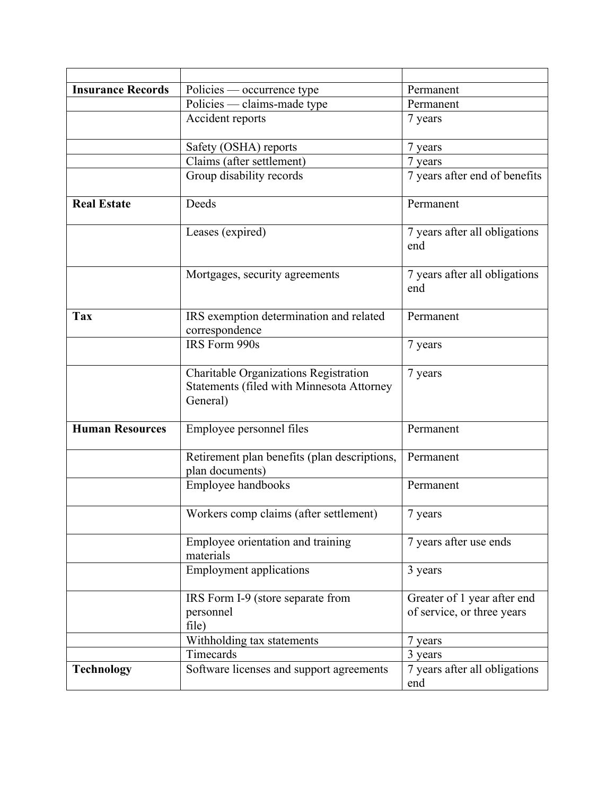| <b>Insurance Records</b> | Policies — occurrence type                                                                     | Permanent                                                 |
|--------------------------|------------------------------------------------------------------------------------------------|-----------------------------------------------------------|
|                          | Policies — claims-made type                                                                    | Permanent                                                 |
|                          | Accident reports                                                                               | 7 years                                                   |
|                          | Safety (OSHA) reports                                                                          | 7 years                                                   |
|                          | Claims (after settlement)                                                                      | 7 years                                                   |
|                          | Group disability records                                                                       | 7 years after end of benefits                             |
| <b>Real Estate</b>       | Deeds                                                                                          | Permanent                                                 |
|                          | Leases (expired)                                                                               | 7 years after all obligations<br>end                      |
|                          | Mortgages, security agreements                                                                 | 7 years after all obligations<br>end                      |
| <b>Tax</b>               | IRS exemption determination and related<br>correspondence                                      | Permanent                                                 |
|                          | IRS Form 990s                                                                                  | 7 years                                                   |
|                          | Charitable Organizations Registration<br>Statements (filed with Minnesota Attorney<br>General) | 7 years                                                   |
| <b>Human Resources</b>   | Employee personnel files                                                                       | Permanent                                                 |
|                          | Retirement plan benefits (plan descriptions,<br>plan documents)                                | Permanent                                                 |
|                          | Employee handbooks                                                                             | Permanent                                                 |
|                          | Workers comp claims (after settlement)                                                         | 7 years                                                   |
|                          | Employee orientation and training<br>materials                                                 | 7 years after use ends                                    |
|                          | <b>Employment applications</b>                                                                 | 3 years                                                   |
|                          | IRS Form I-9 (store separate from<br>personnel<br>file)                                        | Greater of 1 year after end<br>of service, or three years |
|                          | Withholding tax statements                                                                     | 7 years                                                   |
|                          | Timecards                                                                                      | 3 years                                                   |
| <b>Technology</b>        | Software licenses and support agreements                                                       | 7 years after all obligations<br>end                      |